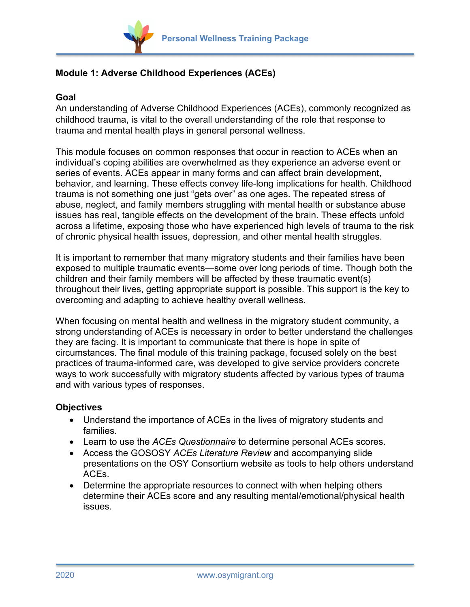

## **Module 1: Adverse Childhood Experiences (ACEs)**

## **Goal**

An understanding of Adverse Childhood Experiences (ACEs), commonly recognized as childhood trauma, is vital to the overall understanding of the role that response to trauma and mental health plays in general personal wellness.

This module focuses on common responses that occur in reaction to ACEs when an individual's coping abilities are overwhelmed as they experience an adverse event or series of events. ACEs appear in many forms and can affect brain development, behavior, and learning. These effects convey life-long implications for health. Childhood trauma is not something one just "gets over" as one ages. The repeated stress of abuse, neglect, and family members struggling with mental health or substance abuse issues has real, tangible effects on the development of the brain. These effects unfold across a lifetime, exposing those who have experienced high levels of trauma to the risk of chronic physical health issues, depression, and other mental health struggles.

It is important to remember that many migratory students and their families have been exposed to multiple traumatic events—some over long periods of time. Though both the children and their family members will be affected by these traumatic event(s) throughout their lives, getting appropriate support is possible. This support is the key to overcoming and adapting to achieve healthy overall wellness.

When focusing on mental health and wellness in the migratory student community, a strong understanding of ACEs is necessary in order to better understand the challenges they are facing. It is important to communicate that there is hope in spite of circumstances. The final module of this training package, focused solely on the best practices of trauma-informed care, was developed to give service providers concrete ways to work successfully with migratory students affected by various types of trauma and with various types of responses.

## **Objectives**

- Understand the importance of ACEs in the lives of migratory students and families.
- Learn to use the *ACEs Questionnaire* to determine personal ACEs scores.
- Access the GOSOSY *ACEs Literature Review* and accompanying slide presentations on the OSY Consortium website as tools to help others understand ACEs.
- Determine the appropriate resources to connect with when helping others determine their ACEs score and any resulting mental/emotional/physical health issues.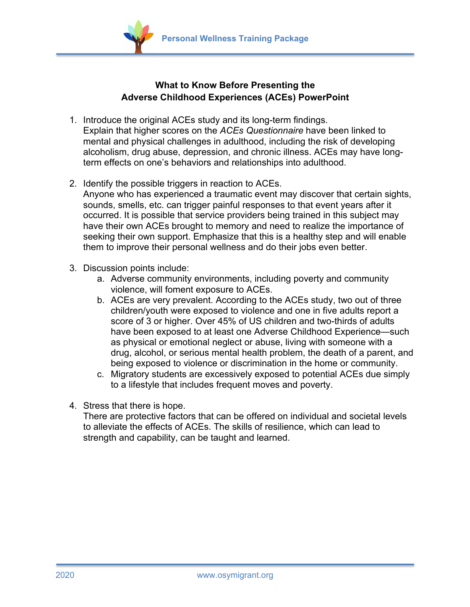

## **What to Know Before Presenting the Adverse Childhood Experiences (ACEs) PowerPoint**

- 1. Introduce the original ACEs study and its long-term findings. Explain that higher scores on the *ACEs Questionnaire* have been linked to mental and physical challenges in adulthood, including the risk of developing alcoholism, drug abuse, depression, and chronic illness. ACEs may have longterm effects on one's behaviors and relationships into adulthood.
- 2. Identify the possible triggers in reaction to ACEs.
	- Anyone who has experienced a traumatic event may discover that certain sights, sounds, smells, etc. can trigger painful responses to that event years after it occurred. It is possible that service providers being trained in this subject may have their own ACEs brought to memory and need to realize the importance of seeking their own support. Emphasize that this is a healthy step and will enable them to improve their personal wellness and do their jobs even better.
- 3. Discussion points include:
	- a. Adverse community environments, including poverty and community violence, will foment exposure to ACEs.
	- b. ACEs are very prevalent. According to the ACEs study, two out of three children/youth were exposed to violence and one in five adults report a score of 3 or higher. Over 45% of US children and two-thirds of adults have been exposed to at least one Adverse Childhood Experience—such as physical or emotional neglect or abuse, living with someone with a drug, alcohol, or serious mental health problem, the death of a parent, and being exposed to violence or discrimination in the home or community.
	- c. Migratory students are excessively exposed to potential ACEs due simply to a lifestyle that includes frequent moves and poverty.
- 4. Stress that there is hope.

There are protective factors that can be offered on individual and societal levels to alleviate the effects of ACEs. The skills of resilience, which can lead to strength and capability, can be taught and learned.